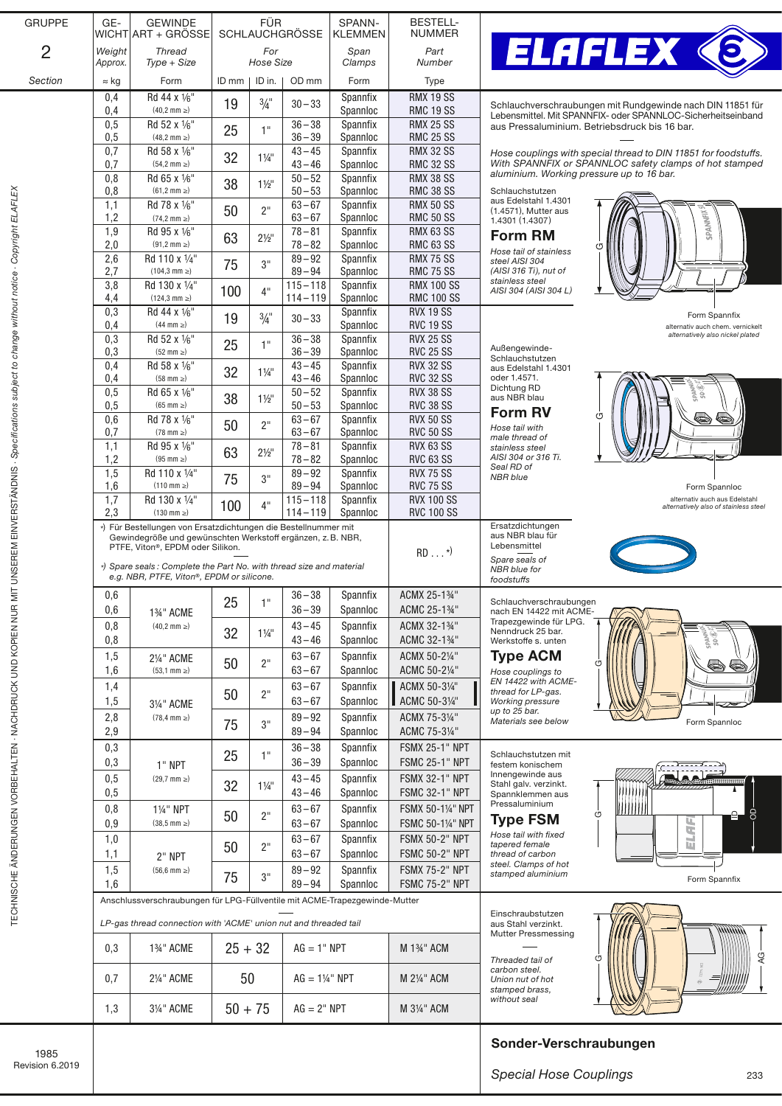| 100E                                                                                             |                                                                                                                                                |                                                                                                                  |           |                  |                           |                      |                                                | Sonder-Verschraubungen                                                                                                     |
|--------------------------------------------------------------------------------------------------|------------------------------------------------------------------------------------------------------------------------------------------------|------------------------------------------------------------------------------------------------------------------|-----------|------------------|---------------------------|----------------------|------------------------------------------------|----------------------------------------------------------------------------------------------------------------------------|
|                                                                                                  | 1,3                                                                                                                                            | 31/4" ACME                                                                                                       | $50 + 75$ |                  | $AG = 2" NPT$             |                      | M 31/4" ACM                                    | stamped brass,<br>without seal                                                                                             |
|                                                                                                  | 0,7                                                                                                                                            | 21/4" ACME                                                                                                       | 50        |                  | $AG = 1\frac{1}{4}$ " NPT |                      | M 21/4" ACM                                    | Threaded tail of<br>carbon steel.<br>Union nut of hot                                                                      |
|                                                                                                  | 0,3                                                                                                                                            | 1%" ACME                                                                                                         | $25 + 32$ |                  | $AG = 1" NPT$             |                      | M 13/4" ACM                                    | aus Stahl verzinkt.<br>mmmm<br><b>Mutter Pressmessing</b>                                                                  |
|                                                                                                  | Anschlussverschraubungen für LPG-Füllventile mit ACME-Trapezgewinde-Mutter<br>LP-gas thread connection with 'ACME' union nut and threaded tail |                                                                                                                  |           |                  |                           |                      | Einschraubstutzen                              |                                                                                                                            |
| TECHNISCHE ÄNDER UNGEN VORBEHALTEN - NACHDRUCK UND KOPIEN NUR                                    | 1,6                                                                                                                                            | 2" NPT<br>$(56.6 \, \text{mm} \geq)$                                                                             |           | $89 - 94$        |                           | Spannloc             | <b>FSMC 75-2" NPT</b>                          | Form Spannfix                                                                                                              |
|                                                                                                  | 1,5                                                                                                                                            |                                                                                                                  | 75        | 3"               | $89 - 92$                 | Spannfix             | <b>FSMX 75-2" NPT</b>                          | steel. Clamps of hot<br>stamped aluminium                                                                                  |
|                                                                                                  | 1,0<br>1,1                                                                                                                                     |                                                                                                                  | 50        | 2"               | $63 - 67$<br>$63 - 67$    | Spannfix<br>Spannloc | <b>FSMX 50-2" NPT</b><br><b>FSMC 50-2" NPT</b> | ELAFI<br>Hose tail with fixed<br>tapered female<br>thread of carbon                                                        |
|                                                                                                  | 0,8<br>0,9                                                                                                                                     | 11/4" NPT<br>$(38.5 \, \text{mm} \geq)$                                                                          | 50        | 2"               | $63 - 67$<br>$63 - 67$    | Spannfix<br>Spannloc | FSMX 50-11/4" NPT<br>FSMC 50-11/4" NPT         | S<br>G<br><b>Type FSM</b>                                                                                                  |
|                                                                                                  | 0,5                                                                                                                                            |                                                                                                                  | 32        | $1\frac{1}{4}$   | $43 - 46$                 | Spannloc             | <b>FSMC 32-1" NPT</b>                          | шш<br>Spannklemmen aus<br>Pressaluminium<br>וווווווו                                                                       |
|                                                                                                  | 0,3<br>0,5                                                                                                                                     | 1" NPT<br>$(29,7 \text{ mm } \geq)$                                                                              |           |                  | $43 - 45$                 | Spannloc<br>Spannfix | <b>FSMX 32-1" NPT</b>                          | festem konischem<br>Innengewinde aus<br>Stahl galv. verzinkt.                                                              |
|                                                                                                  | 0,3                                                                                                                                            |                                                                                                                  | 25        | 1"               | $36 - 38$<br>$36 - 39$    | Spannfix             | <b>FSMX 25-1" NPT</b><br><b>FSMC 25-1" NPT</b> | Schlauchstutzen mit                                                                                                        |
|                                                                                                  | 2,8<br>2,9                                                                                                                                     | $(78, 4 \text{ mm } \geq)$                                                                                       | 75        | 3"               | $89 - 92$<br>$89 - 94$    | Spannfix<br>Spannloc | ACMX 75-31/4"<br>ACMC 75-31/4"                 | Materials see below<br>Form Spannloc                                                                                       |
|                                                                                                  | 1,5                                                                                                                                            | 31/4" ACME                                                                                                       | 50        |                  | $63 - 67$                 | Spannloc             | ACMC 50-31/4"                                  | <b>Working pressure</b><br>up to 25 bar.                                                                                   |
|                                                                                                  | 1,6<br>1,4                                                                                                                                     |                                                                                                                  |           | 2"               | $63 - 67$                 | Spannloc<br>Spannfix | ACMC 50-21/4"<br>ACMX 50-31/4"                 | Hose couplings to<br>EN 14422 with ACME-<br>thread for LP-gas.                                                             |
|                                                                                                  | 1,5                                                                                                                                            | 21/4" ACME<br>$(53, 1 \text{ mm } \geq)$                                                                         | 50        | 2"               | $63 - 67$<br>$63 - 67$    | Spannfix             | ACMX 50-21/4"                                  | <b>Type ACM</b>                                                                                                            |
|                                                                                                  | 0,8<br>0,8                                                                                                                                     | $(40.2 \text{ mm} \geq)$                                                                                         | 32        | $1\frac{1}{4}$   | $43 - 45$<br>$43 - 46$    | Spannfix<br>Spannloc | ACMX 32-13/4"<br>ACMC 32-13/4"                 | Nenndruck 25 bar.<br>Werkstoffe s. unten<br>Ğ,                                                                             |
|                                                                                                  | 0,6                                                                                                                                            | 1%" ACME                                                                                                         | 25        | 1.               | $36 - 39$                 | Spannloc             | ACMC 25-13/4"                                  | Schlauchverschraubungen<br>nach EN 14422 mit ACME-<br>Trapezgewinde für LPG.                                               |
|                                                                                                  | 0,6                                                                                                                                            |                                                                                                                  |           |                  | $36 - 38$                 | Spannfix             | ACMX 25-13/4"                                  | foodstuffs                                                                                                                 |
|                                                                                                  |                                                                                                                                                | *) Spare seals: Complete the Part No. with thread size and material<br>e.g. NBR, PTFE, Viton®, EPDM or silicone. |           |                  |                           |                      |                                                | Spare seals of<br>NBR blue for                                                                                             |
|                                                                                                  |                                                                                                                                                | Gewindegröße und gewünschten Werkstoff ergänzen, z. B. NBR,<br>PTFE, Viton®, EPDM oder Silikon.                  |           |                  |                           |                      | $RD \dots$ <sup>*)</sup>                       | aus NBR blau für<br>Lebensmittel                                                                                           |
|                                                                                                  | 2,3                                                                                                                                            | $(130$ mm $\geq)$<br>*) Für Bestellungen von Ersatzdichtungen die Bestellnummer mit                              |           |                  | $114 - 119$               | Spannloc             | <b>RVC 100 SS</b>                              | Ersatzdichtungen                                                                                                           |
| MIT UNSEREM EINVERSTÄNDNIS - Specifications subject to change without notice - Copyright ELAFLEX | 1,6<br>1,7                                                                                                                                     | $(110 \text{ mm} \geq)$<br>Rd 130 x 1/4"                                                                         | 100       | 4"               | $89 - 94$<br>$115 - 118$  | Spannloc<br>Spannfix | <b>RVC 75 SS</b><br><b>RVX 100 SS</b>          | Form Spannloc<br>alternativ auch aus Edelstahl<br>alternatively also of stainless stee.                                    |
|                                                                                                  | 1,5                                                                                                                                            | Rd 110 x 1/4"                                                                                                    | 75        | 3"               | $89 - 92$                 | Spannfix             | <b>RVX 75 SS</b>                               | Seal RD of<br><b>NBR</b> blue                                                                                              |
|                                                                                                  | 1,1<br>1,2                                                                                                                                     | Rd 95 x 1/6"<br>$(95$ mm $\geq)$                                                                                 | 63        | $2\frac{1}{2}$ " | $78 - 81$<br>$78 - 82$    | Spannfix<br>Spannloc | <b>RVX 63 SS</b><br><b>RVC 63 SS</b>           | male thread of<br>stainless steel<br>AISI 304 or 316 Ti.                                                                   |
|                                                                                                  | 0,6<br>0,7                                                                                                                                     | Rd 78 x 1/6"<br>$(78$ mm $\geq)$                                                                                 | 50        | 2"               | $63 - 67$<br>$63 - 67$    | Spannfix<br>Spannloc | <b>RVX 50 SS</b><br><b>RVC 50 SS</b>           | (Π<br>Hose tail with                                                                                                       |
|                                                                                                  | 0,5<br>0.5                                                                                                                                     | Rd 65 x 1/6"<br>$(65$ mm $\geq)$                                                                                 | 38        | $1\frac{1}{2}$   | $50 - 52$<br>$50 - 53$    | Spannfix<br>Spannloc | <b>RVX 38 SS</b><br><b>RVC 38 SS</b>           | aus NBR blau<br><b>Form RV</b>                                                                                             |
|                                                                                                  | 0,4                                                                                                                                            | $(58$ mm $\geq)$                                                                                                 | 32        | $1\frac{1}{4}$   | $43 - 46$                 | Spannloc             | <b>RVC 32 SS</b>                               | oder 1.4571.<br>Dichtung RD                                                                                                |
|                                                                                                  | 0,3<br>0,4                                                                                                                                     | $(52 \text{ mm } \geq)$<br>Rd 58 x 1/6"                                                                          | 25        | 1"               | $36 - 39$<br>$43 - 45$    | Spannloc<br>Spannfix | <b>RVC 25 SS</b><br><b>RVX 32 SS</b>           | Außengewinde-<br>Schlauchstutzen<br>aus Edelstahl 1.4301                                                                   |
|                                                                                                  | 0,4<br>0,3                                                                                                                                     | $(44 \text{ mm} \geq)$<br>Rd 52 x 1/6"                                                                           |           |                  | $36 - 38$                 | Spannloc<br>Spannfix | <b>RVC 19 SS</b><br><b>RVX 25 SS</b>           | alternativ auch chem. vernickelt<br>alternatively also nickel plated                                                       |
|                                                                                                  | 4,4<br>0,3                                                                                                                                     | Rd 44 x 1/6"                                                                                                     | 19        | $\frac{3}{4}$ "  | $114 - 119$<br>$30 - 33$  | Spannloc<br>Spannfix | <b>RMC 100 SS</b><br><b>RVX 19 SS</b>          | Form Spannfix                                                                                                              |
|                                                                                                  | 3,8                                                                                                                                            | Rd 130 x 1/4"<br>$(124.3 \text{ mm } \geq)$                                                                      | 100       | 4"               | $115 - 118$               | Spannfix             | <b>RMX 100 SS</b>                              | stainless steel<br>AISI 304 (AISI 304 L)                                                                                   |
|                                                                                                  | 2,6<br>2,7                                                                                                                                     | Rd 110 x 1/4"<br>$(104, 3 \text{ mm } \geq)$                                                                     | 75        | 3"               | $89 - 92$<br>$89 - 94$    | Spannfix<br>Spannloc | <b>RMX 75 SS</b><br><b>RMC 75 SS</b>           | Hose tail of stainless<br>steel AISI 304<br>(AISI 316 Ti), nut of                                                          |
|                                                                                                  | 1,9<br>2,0                                                                                                                                     | Rd 95 x 1/6"<br>$(91, 2 \text{ mm } \geq)$                                                                       | 63        | $2\frac{1}{2}$ " | $78 - 81$<br>$78 - 82$    | Spannfix<br>Spannloc | <b>RMX 63 SS</b><br><b>RMC 63 SS</b>           | <b>Form RM</b>                                                                                                             |
|                                                                                                  | 1,2                                                                                                                                            | $(74, 2 \text{ mm } \geq)$                                                                                       | 50        | 2"               | $63 - 67$                 | Spannloc             | <b>RMC 50 SS</b>                               | (1.4571), Mutter aus<br>SPANNFIX<br>1.4301 (1.4307)                                                                        |
|                                                                                                  | 0,8<br>1,1                                                                                                                                     | $(61, 2 \text{ mm } \geq)$<br>Rd 78 x 1/6"                                                                       | 38        | $1\frac{1}{2}$   | $50 - 53$<br>$63 - 67$    | Spannloc<br>Spannfix | <b>RMC 38 SS</b><br><b>RMX 50 SS</b>           | Schlauchstutzen<br>aus Edelstahl 1.4301                                                                                    |
|                                                                                                  | 0.7<br>0,8                                                                                                                                     | $(54, 2 \text{ mm } \geq)$<br>Rd 65 x 1/6"                                                                       |           |                  | $43 - 46$<br>$50 - 52$    | Spannloc<br>Spannfix | <b>RMC 32 SS</b><br><b>RMX 38 SS</b>           | With SPANNFIX or SPANNLOC safety clamps of hot stamped<br>aluminium. Working pressure up to 16 bar.                        |
|                                                                                                  | 0,7                                                                                                                                            | Rd 58 x 1/6"                                                                                                     | 32        | $1\frac{1}{4}$   | $43 - 45$                 | Spannloc<br>Spannfix | <b>RMX 32 SS</b>                               | Hose couplings with special thread to DIN 11851 for foodstuffs.                                                            |
|                                                                                                  | 0,5<br>0.5                                                                                                                                     | Rd 52 x 1/6"<br>$(48, 2 \text{ mm } \geq)$                                                                       | 25        | 1"               | $36 - 38$<br>$36 - 39$    | Spannfix             | <b>RMX 25 SS</b><br><b>RMC 25 SS</b>           | aus Pressaluminium. Betriebsdruck bis 16 bar.                                                                              |
|                                                                                                  | 0,4<br>0,4                                                                                                                                     | Rd 44 x 1/6"<br>$(40, 2 \text{ mm } \geq)$                                                                       | 19        | $\frac{3}{4}$ "  | $30 - 33$                 | Spannfix<br>Spannloc | <b>RMX 19 SS</b><br><b>RMC 19 SS</b>           | Schlauchverschraubungen mit Rundgewinde nach DIN 11851 für<br>Lebensmittel. Mit SPANNFIX- oder SPANNLOC-Sicherheitseinband |
| Section                                                                                          | $\approx$ kg                                                                                                                                   | Form                                                                                                             | ID mm     | ID in.           | OD mm                     | Form                 | <b>Type</b>                                    |                                                                                                                            |
| $\overline{2}$                                                                                   | Weight<br>Approx.                                                                                                                              | <b>Thread</b><br>$Type + Size$                                                                                   |           | For<br>Hose Size |                           | Span<br>Clamps       | Part<br>Number                                 | <b>ELAFLEX ®</b>                                                                                                           |
|                                                                                                  |                                                                                                                                                | WICHT ART + GRÖSSE                                                                                               |           |                  | SCHLAUCHGRÖSSE            | <b>KLEMMEN</b>       | <b>NUMMER</b>                                  |                                                                                                                            |
| <b>GRUPPE</b>                                                                                    | GE-                                                                                                                                            | <b>GEWINDE</b>                                                                                                   |           | FÜR              |                           | SPANN-               | <b>BESTELL-</b>                                |                                                                                                                            |

-

*Special Hose Couplings*

233

 $-4G$